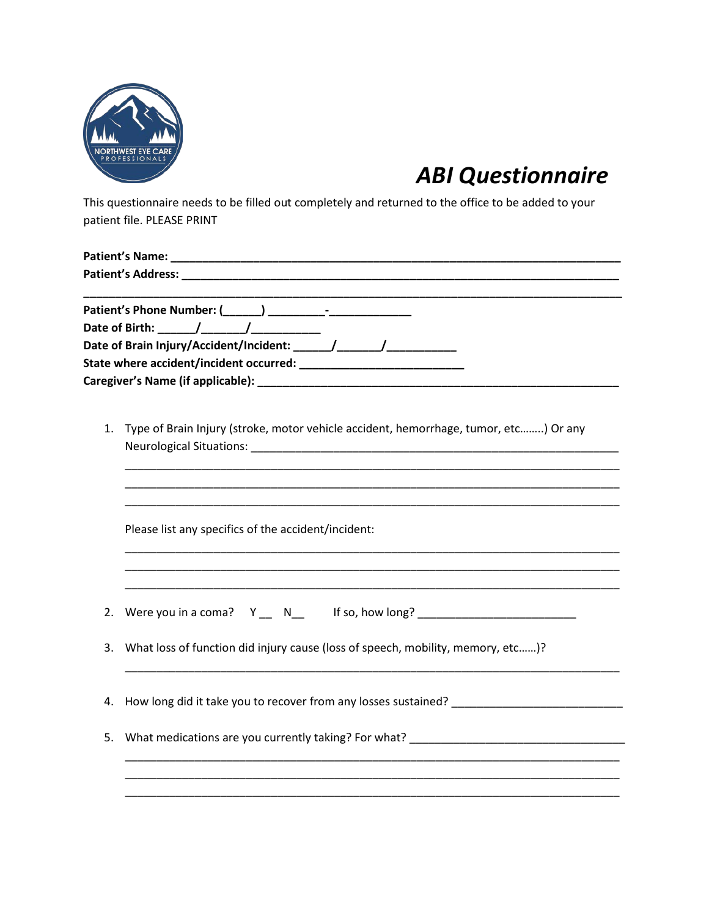

## *ABI Questionnaire*

This questionnaire needs to be filled out completely and returned to the office to be added to your patient file. PLEASE PRINT

| 1. | Type of Brain Injury (stroke, motor vehicle accident, hemorrhage, tumor, etc) Or any |  |  |
|----|--------------------------------------------------------------------------------------|--|--|
|    | Please list any specifics of the accident/incident:                                  |  |  |
| 2. |                                                                                      |  |  |
| 3. | What loss of function did injury cause (loss of speech, mobility, memory, etc)?      |  |  |
|    | 4. How long did it take you to recover from any losses sustained? _______________    |  |  |
| 5. |                                                                                      |  |  |
|    |                                                                                      |  |  |
|    |                                                                                      |  |  |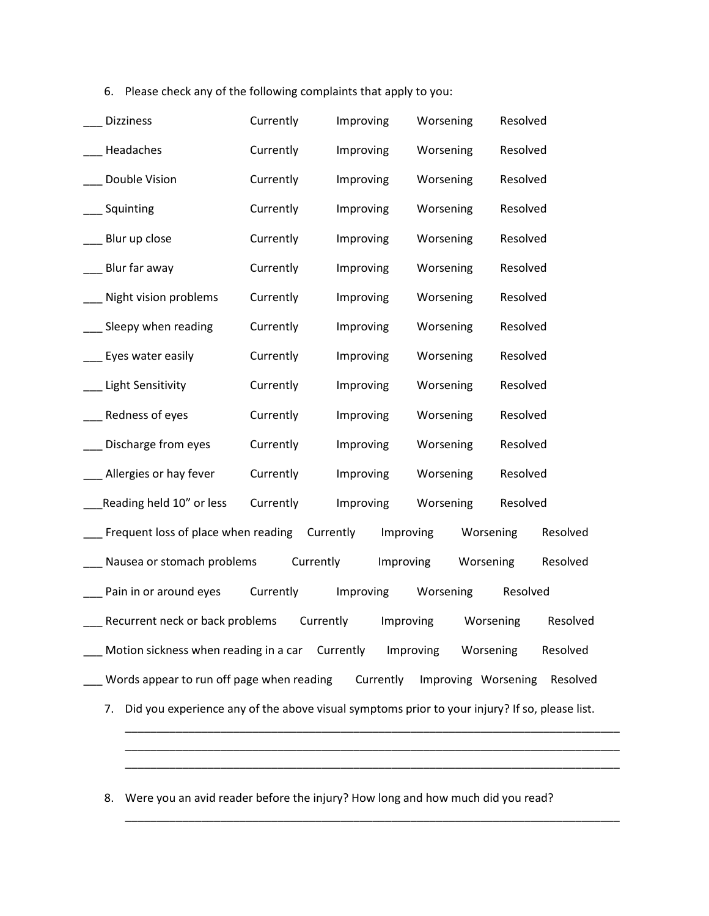6. Please check any of the following complaints that apply to you:

| <b>Dizziness</b>                                                                                    | Currently | Improving | Worsening | Resolved              |  |
|-----------------------------------------------------------------------------------------------------|-----------|-----------|-----------|-----------------------|--|
| Headaches                                                                                           | Currently | Improving | Worsening | Resolved              |  |
| Double Vision                                                                                       | Currently | Improving | Worsening | Resolved              |  |
| Squinting                                                                                           | Currently | Improving | Worsening | Resolved              |  |
| Blur up close                                                                                       | Currently | Improving | Worsening | Resolved              |  |
| Blur far away                                                                                       | Currently | Improving | Worsening | Resolved              |  |
| Night vision problems                                                                               | Currently | Improving | Worsening | Resolved              |  |
| Sleepy when reading                                                                                 | Currently | Improving | Worsening | Resolved              |  |
| Eyes water easily                                                                                   | Currently | Improving | Worsening | Resolved              |  |
| Light Sensitivity                                                                                   | Currently | Improving | Worsening | Resolved              |  |
| Redness of eyes                                                                                     | Currently | Improving | Worsening | Resolved              |  |
| Discharge from eyes                                                                                 | Currently | Improving | Worsening | Resolved              |  |
| Allergies or hay fever                                                                              | Currently | Improving | Worsening | Resolved              |  |
| Reading held 10" or less                                                                            | Currently | Improving | Worsening | Resolved              |  |
| Frequent loss of place when reading Currently                                                       |           | Improving | Worsening | Resolved              |  |
| Nausea or stomach problems                                                                          | Currently | Improving | Worsening | Resolved              |  |
| Pain in or around eyes                                                                              | Currently | Improving | Worsening | Resolved              |  |
| Recurrent neck or back problems                                                                     | Currently | Improving |           | Worsening<br>Resolved |  |
| Motion sickness when reading in a car Currently<br>Improving<br>Worsening<br>Resolved               |           |           |           |                       |  |
| Words appear to run off page when reading<br>Currently<br>Improving Worsening<br>Resolved           |           |           |           |                       |  |
| Did you experience any of the above visual symptoms prior to your injury? If so, please list.<br>7. |           |           |           |                       |  |

8. Were you an avid reader before the injury? How long and how much did you read?

\_\_\_\_\_\_\_\_\_\_\_\_\_\_\_\_\_\_\_\_\_\_\_\_\_\_\_\_\_\_\_\_\_\_\_\_\_\_\_\_\_\_\_\_\_\_\_\_\_\_\_\_\_\_\_\_\_\_\_\_\_\_\_\_\_\_\_\_\_\_\_\_\_\_\_\_\_\_ \_\_\_\_\_\_\_\_\_\_\_\_\_\_\_\_\_\_\_\_\_\_\_\_\_\_\_\_\_\_\_\_\_\_\_\_\_\_\_\_\_\_\_\_\_\_\_\_\_\_\_\_\_\_\_\_\_\_\_\_\_\_\_\_\_\_\_\_\_\_\_\_\_\_\_\_\_\_

\_\_\_\_\_\_\_\_\_\_\_\_\_\_\_\_\_\_\_\_\_\_\_\_\_\_\_\_\_\_\_\_\_\_\_\_\_\_\_\_\_\_\_\_\_\_\_\_\_\_\_\_\_\_\_\_\_\_\_\_\_\_\_\_\_\_\_\_\_\_\_\_\_\_\_\_\_\_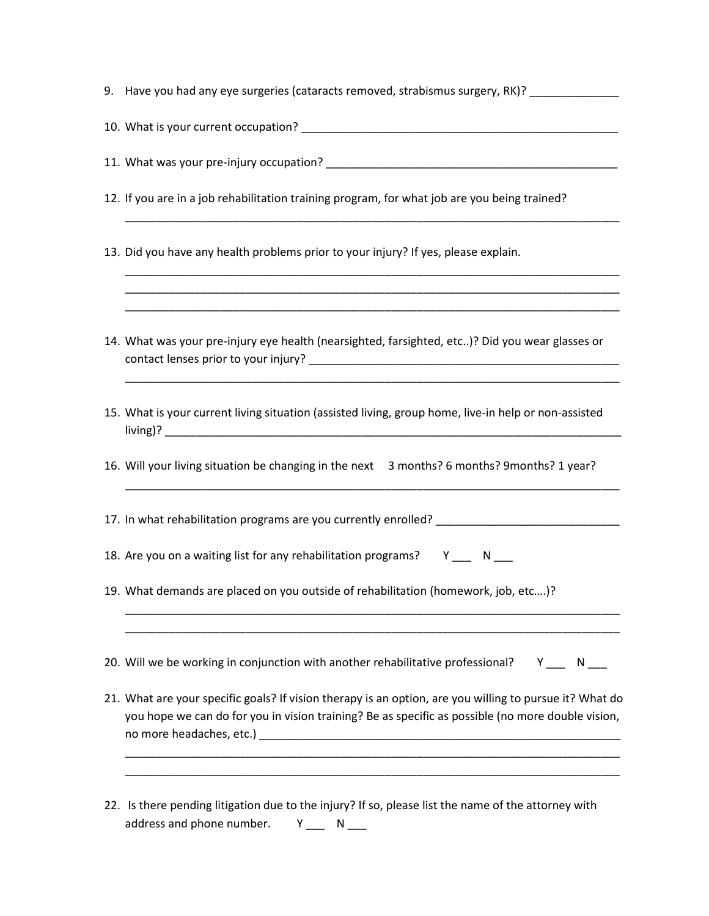- 9. Have you had any eye surgeries (cataracts removed, strabismus surgery, RK)? \_\_\_\_\_
- 10. What is your current occupation? The state of the state of the state of the state of the state of the state of the state of the state of the state of the state of the state of the state of the state of the state of the
- 11. What was your pre-injury occupation? \_\_\_\_\_\_\_\_\_\_\_\_\_\_\_\_\_\_\_\_\_\_\_\_\_\_\_\_\_\_\_\_\_\_\_\_\_\_\_\_\_\_\_\_\_\_
- 12. If you are in a job rehabilitation training program, for what job are you being trained?

\_\_\_\_\_\_\_\_\_\_\_\_\_\_\_\_\_\_\_\_\_\_\_\_\_\_\_\_\_\_\_\_\_\_\_\_\_\_\_\_\_\_\_\_\_\_\_\_\_\_\_\_\_\_\_\_\_\_\_\_\_\_\_\_\_\_\_\_\_\_\_\_\_\_\_\_\_\_

\_\_\_\_\_\_\_\_\_\_\_\_\_\_\_\_\_\_\_\_\_\_\_\_\_\_\_\_\_\_\_\_\_\_\_\_\_\_\_\_\_\_\_\_\_\_\_\_\_\_\_\_\_\_\_\_\_\_\_\_\_\_\_\_\_\_\_\_\_\_\_\_\_\_\_\_\_\_ \_\_\_\_\_\_\_\_\_\_\_\_\_\_\_\_\_\_\_\_\_\_\_\_\_\_\_\_\_\_\_\_\_\_\_\_\_\_\_\_\_\_\_\_\_\_\_\_\_\_\_\_\_\_\_\_\_\_\_\_\_\_\_\_\_\_\_\_\_\_\_\_\_\_\_\_\_\_ \_\_\_\_\_\_\_\_\_\_\_\_\_\_\_\_\_\_\_\_\_\_\_\_\_\_\_\_\_\_\_\_\_\_\_\_\_\_\_\_\_\_\_\_\_\_\_\_\_\_\_\_\_\_\_\_\_\_\_\_\_\_\_\_\_\_\_\_\_\_\_\_\_\_\_\_\_\_

\_\_\_\_\_\_\_\_\_\_\_\_\_\_\_\_\_\_\_\_\_\_\_\_\_\_\_\_\_\_\_\_\_\_\_\_\_\_\_\_\_\_\_\_\_\_\_\_\_\_\_\_\_\_\_\_\_\_\_\_\_\_\_\_\_\_\_\_\_\_\_\_\_\_\_\_\_\_

\_\_\_\_\_\_\_\_\_\_\_\_\_\_\_\_\_\_\_\_\_\_\_\_\_\_\_\_\_\_\_\_\_\_\_\_\_\_\_\_\_\_\_\_\_\_\_\_\_\_\_\_\_\_\_\_\_\_\_\_\_\_\_\_\_\_\_\_\_\_\_\_\_\_\_\_\_\_

\_\_\_\_\_\_\_\_\_\_\_\_\_\_\_\_\_\_\_\_\_\_\_\_\_\_\_\_\_\_\_\_\_\_\_\_\_\_\_\_\_\_\_\_\_\_\_\_\_\_\_\_\_\_\_\_\_\_\_\_\_\_\_\_\_\_\_\_\_\_\_\_\_\_\_\_\_\_ \_\_\_\_\_\_\_\_\_\_\_\_\_\_\_\_\_\_\_\_\_\_\_\_\_\_\_\_\_\_\_\_\_\_\_\_\_\_\_\_\_\_\_\_\_\_\_\_\_\_\_\_\_\_\_\_\_\_\_\_\_\_\_\_\_\_\_\_\_\_\_\_\_\_\_\_\_\_

- 13. Did you have any health problems prior to your injury? If yes, please explain.
- 14. What was your pre-injury eye health (nearsighted, farsighted, etc..)? Did you wear glasses or contact lenses prior to your injury? \_\_\_\_\_\_\_\_\_\_\_\_\_\_\_\_\_\_\_\_\_\_\_\_\_\_\_\_\_\_\_\_\_\_\_\_\_\_\_\_\_\_\_\_\_\_\_\_\_
- 15. What is your current living situation (assisted living, group home, live-in help or non-assisted living)? \_\_\_\_\_\_\_\_\_\_\_\_\_\_\_\_\_\_\_\_\_\_\_\_\_\_\_\_\_\_\_\_\_\_\_\_\_\_\_\_\_\_\_\_\_\_\_\_\_\_\_\_\_\_\_\_\_\_\_\_\_\_\_\_\_\_\_\_\_\_\_\_
- 16. Will your living situation be changing in the next 3 months? 6 months? 9months? 1 year?

17. In what rehabilitation programs are you currently enrolled? \_\_\_\_\_\_\_\_\_\_\_\_\_\_\_\_

18. Are you on a waiting list for any rehabilitation programs? Y \_\_\_ N \_\_\_

- 19. What demands are placed on you outside of rehabilitation (homework, job, etc….)?
- 20. Will we be working in conjunction with another rehabilitative professional?  $Y \_ N \_ N$
- 21. What are your specific goals? If vision therapy is an option, are you willing to pursue it? What do you hope we can do for you in vision training? Be as specific as possible (no more double vision, no more headaches, etc.) **with a set of the set of the set of the set of the set of the set of the set of the set of the set of the set of the set of the set of the set of the set of the set of the set of the set of the se**

\_\_\_\_\_\_\_\_\_\_\_\_\_\_\_\_\_\_\_\_\_\_\_\_\_\_\_\_\_\_\_\_\_\_\_\_\_\_\_\_\_\_\_\_\_\_\_\_\_\_\_\_\_\_\_\_\_\_\_\_\_\_\_\_\_\_\_\_\_\_\_\_\_\_\_\_\_\_ \_\_\_\_\_\_\_\_\_\_\_\_\_\_\_\_\_\_\_\_\_\_\_\_\_\_\_\_\_\_\_\_\_\_\_\_\_\_\_\_\_\_\_\_\_\_\_\_\_\_\_\_\_\_\_\_\_\_\_\_\_\_\_\_\_\_\_\_\_\_\_\_\_\_\_\_\_\_

22. Is there pending litigation due to the injury? If so, please list the name of the attorney with address and phone number.  $Y_{\text{max}}$  N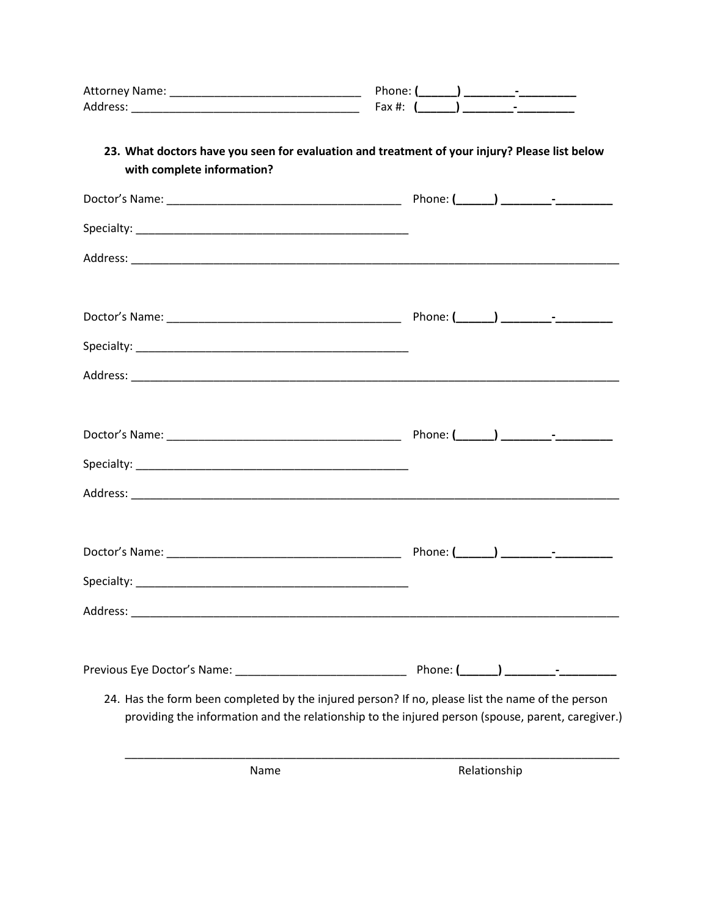| 23. What doctors have you seen for evaluation and treatment of your injury? Please list below<br>with complete information?                                                                           |              |
|-------------------------------------------------------------------------------------------------------------------------------------------------------------------------------------------------------|--------------|
|                                                                                                                                                                                                       |              |
|                                                                                                                                                                                                       |              |
|                                                                                                                                                                                                       |              |
|                                                                                                                                                                                                       |              |
|                                                                                                                                                                                                       |              |
|                                                                                                                                                                                                       |              |
|                                                                                                                                                                                                       |              |
|                                                                                                                                                                                                       |              |
|                                                                                                                                                                                                       |              |
|                                                                                                                                                                                                       |              |
|                                                                                                                                                                                                       |              |
|                                                                                                                                                                                                       |              |
|                                                                                                                                                                                                       |              |
| 24. Has the form been completed by the injured person? If no, please list the name of the person<br>providing the information and the relationship to the injured person (spouse, parent, caregiver.) |              |
| Name                                                                                                                                                                                                  | Relationship |